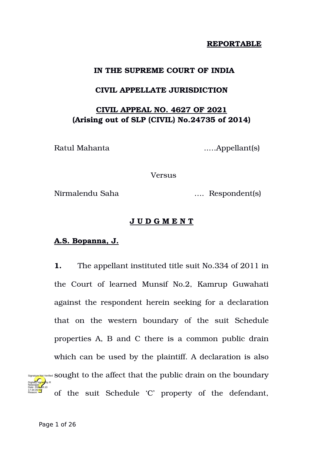## **REPORTABLE**

# **IN THE SUPREME COURT OF INDIA**

## **CIVIL APPELLATE JURISDICTION**

# **CIVIL APPEAL NO. 4627 OF 2021 (Arising out of SLP (CIVIL) No.24735 of 2014)**

Ratul Mahanta ..…Appellant(s)

Versus

Nirmalendu Saha …. Respondent(s)

# **J U D G M E N T**

## **A.S. Bopanna, J.**

**1.** The appellant instituted title suit No.334 of 2011 in the Court of learned Munsif No.2, Kamrup Guwahati against the respondent herein seeking for a declaration that on the western boundary of the suit Schedule properties A, B and C there is a common public drain which can be used by the plaintiff. A declaration is also signaly enot Verified Sought to the affect that the public drain on the boundary of the suit Schedule 'C' property of the defendant, Digitally signed by R Date: 2024.08.10

Natarajan

17:34:35 IST Reason: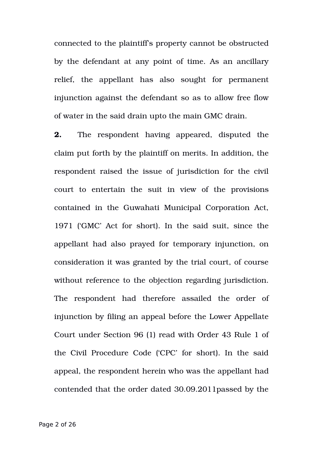connected to the plaintiff's property cannot be obstructed by the defendant at any point of time. As an ancillary relief, the appellant has also sought for permanent injunction against the defendant so as to allow free flow of water in the said drain upto the main GMC drain.

**2.** The respondent having appeared, disputed the claim put forth by the plaintiff on merits. In addition, the respondent raised the issue of jurisdiction for the civil court to entertain the suit in view of the provisions contained in the Guwahati Municipal Corporation Act, 1971 ('GMC' Act for short). In the said suit, since the appellant had also prayed for temporary injunction, on consideration it was granted by the trial court, of course without reference to the objection regarding jurisdiction. The respondent had therefore assailed the order of injunction by filing an appeal before the Lower Appellate Court under Section 96 (1) read with Order 43 Rule 1 of the Civil Procedure Code ('CPC' for short). In the said appeal, the respondent herein who was the appellant had contended that the order dated 30.09.2011passed by the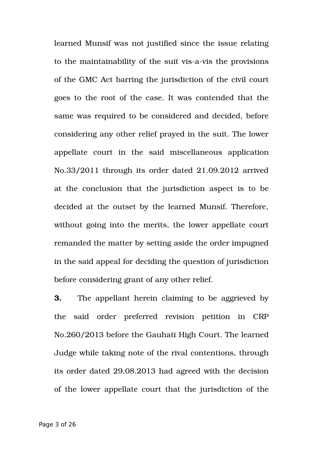learned Munsif was not justified since the issue relating to the maintainability of the suit vis-a-vis the provisions of the GMC Act barring the jurisdiction of the civil court goes to the root of the case. It was contended that the same was required to be considered and decided, before considering any other relief prayed in the suit. The lower appellate court in the said miscellaneous application No.33/2011 through its order dated 21.09.2012 arrived at the conclusion that the jurisdiction aspect is to be decided at the outset by the learned Munsif. Therefore, without going into the merits, the lower appellate court remanded the matter by setting aside the order impugned in the said appeal for deciding the question of jurisdiction before considering grant of any other relief.

**3.** The appellant herein claiming to be aggrieved by the said order preferred revision petition in CRP No.260/2013 before the Gauhati High Court. The learned Judge while taking note of the rival contentions, through its order dated 29.08.2013 had agreed with the decision of the lower appellate court that the jurisdiction of the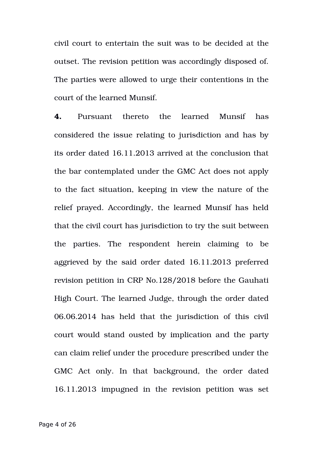civil court to entertain the suit was to be decided at the outset. The revision petition was accordingly disposed of. The parties were allowed to urge their contentions in the court of the learned Munsif.

**4.** Pursuant thereto the learned Munsif has considered the issue relating to jurisdiction and has by its order dated 16.11.2013 arrived at the conclusion that the bar contemplated under the GMC Act does not apply to the fact situation, keeping in view the nature of the relief prayed. Accordingly, the learned Munsif has held that the civil court has jurisdiction to try the suit between the parties. The respondent herein claiming to be aggrieved by the said order dated 16.11.2013 preferred revision petition in CRP No.128/2018 before the Gauhati High Court. The learned Judge, through the order dated 06.06.2014 has held that the jurisdiction of this civil court would stand ousted by implication and the party can claim relief under the procedure prescribed under the GMC Act only. In that background, the order dated 16.11.2013 impugned in the revision petition was set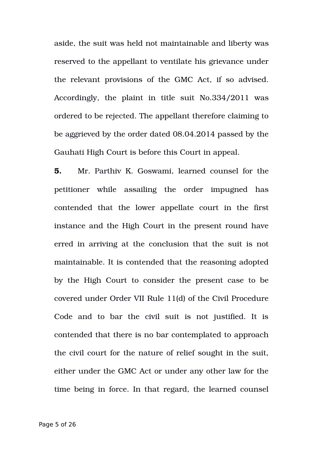aside, the suit was held not maintainable and liberty was reserved to the appellant to ventilate his grievance under the relevant provisions of the GMC Act, if so advised. Accordingly, the plaint in title suit No.334/2011 was ordered to be rejected. The appellant therefore claiming to be aggrieved by the order dated 08.04.2014 passed by the Gauhati High Court is before this Court in appeal.

**5.** Mr. Parthiv K. Goswami, learned counsel for the petitioner while assailing the order impugned has contended that the lower appellate court in the first instance and the High Court in the present round have erred in arriving at the conclusion that the suit is not maintainable. It is contended that the reasoning adopted by the High Court to consider the present case to be covered under Order VII Rule 11(d) of the Civil Procedure Code and to bar the civil suit is not justified. It is contended that there is no bar contemplated to approach the civil court for the nature of relief sought in the suit, either under the GMC Act or under any other law for the time being in force. In that regard, the learned counsel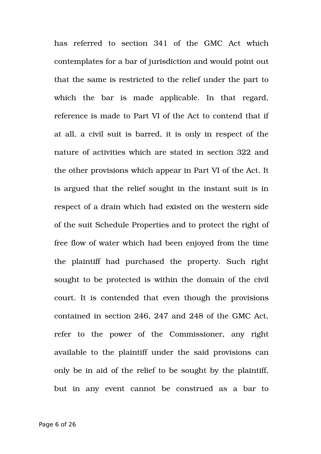has referred to section 341 of the GMC Act which contemplates for a bar of jurisdiction and would point out that the same is restricted to the relief under the part to which the bar is made applicable. In that regard, reference is made to Part VI of the Act to contend that if at all, a civil suit is barred, it is only in respect of the nature of activities which are stated in section 322 and the other provisions which appear in Part VI of the Act. It is argued that the relief sought in the instant suit is in respect of a drain which had existed on the western side of the suit Schedule Properties and to protect the right of free flow of water which had been enjoyed from the time the plaintiff had purchased the property. Such right sought to be protected is within the domain of the civil court. It is contended that even though the provisions contained in section 246, 247 and 248 of the GMC Act, refer to the power of the Commissioner, any right available to the plaintiff under the said provisions can only be in aid of the relief to be sought by the plaintiff, but in any event cannot be construed as a bar to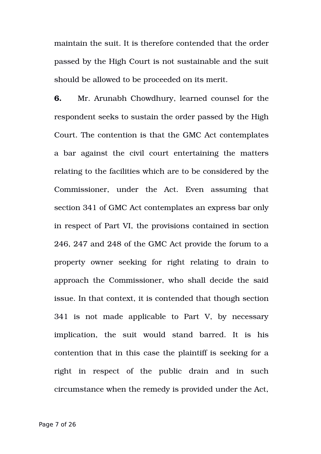maintain the suit. It is therefore contended that the order passed by the High Court is not sustainable and the suit should be allowed to be proceeded on its merit.

**6.** Mr. Arunabh Chowdhury, learned counsel for the respondent seeks to sustain the order passed by the High Court. The contention is that the GMC Act contemplates a bar against the civil court entertaining the matters relating to the facilities which are to be considered by the Commissioner, under the Act. Even assuming that section 341 of GMC Act contemplates an express bar only in respect of Part VI, the provisions contained in section 246, 247 and 248 of the GMC Act provide the forum to a property owner seeking for right relating to drain to approach the Commissioner, who shall decide the said issue. In that context, it is contended that though section 341 is not made applicable to Part V, by necessary implication, the suit would stand barred. It is his contention that in this case the plaintiff is seeking for a right in respect of the public drain and in such circumstance when the remedy is provided under the Act,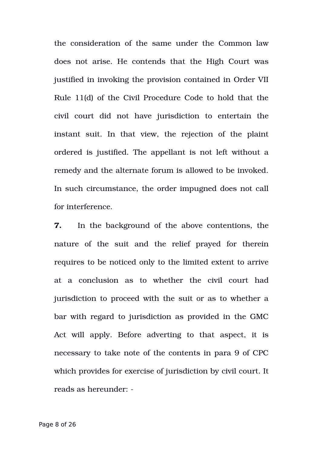the consideration of the same under the Common law does not arise. He contends that the High Court was justified in invoking the provision contained in Order VII Rule 11(d) of the Civil Procedure Code to hold that the civil court did not have iurisdiction to entertain the instant suit. In that view, the rejection of the plaint ordered is justified. The appellant is not left without a remedy and the alternate forum is allowed to be invoked. In such circumstance, the order impugned does not call for interference.

**7.** In the background of the above contentions, the nature of the suit and the relief prayed for therein requires to be noticed only to the limited extent to arrive at a conclusion as to whether the civil court had jurisdiction to proceed with the suit or as to whether a bar with regard to jurisdiction as provided in the GMC Act will apply. Before adverting to that aspect, it is necessary to take note of the contents in para 9 of CPC which provides for exercise of jurisdiction by civil court. It reads as hereunder: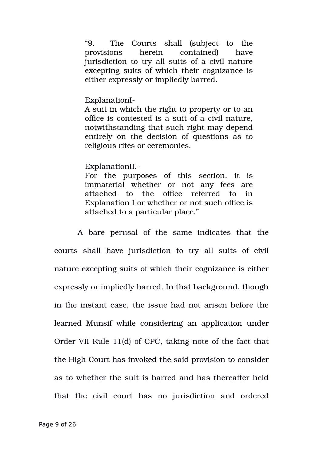"9. The Courts shall (subject to the provisions herein contained) have jurisdiction to try all suits of a civil nature excepting suits of which their cognizance is either expressly or impliedly barred.

#### ExplanationI-

A suit in which the right to property or to an office is contested is a suit of a civil nature, notwithstanding that such right may depend entirely on the decision of questions as to religious rites or ceremonies.

ExplanationII.

For the purposes of this section, it is immaterial whether or not any fees are attached to the office referred to in Explanation I or whether or not such office is attached to a particular place."

A bare perusal of the same indicates that the courts shall have jurisdiction to try all suits of civil nature excepting suits of which their cognizance is either expressly or impliedly barred. In that background, though in the instant case, the issue had not arisen before the learned Munsif while considering an application under Order VII Rule 11(d) of CPC, taking note of the fact that the High Court has invoked the said provision to consider as to whether the suit is barred and has thereafter held that the civil court has no jurisdiction and ordered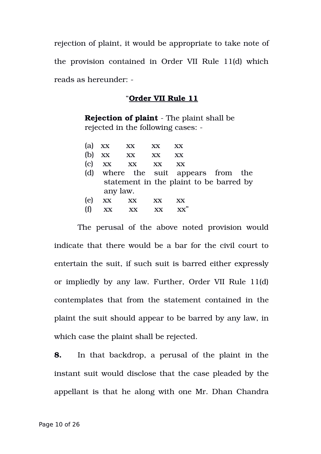rejection of plaint, it would be appropriate to take note of the provision contained in Order VII Rule 11(d) which reads as hereunder:

#### "**Order VII Rule 11**

**Rejection of plaint** - The plaint shall be rejected in the following cases:

| (a) | XX       | $\mathbf{X} \mathbf{X}$                 | XX                      | XХ |  |  |  |
|-----|----------|-----------------------------------------|-------------------------|----|--|--|--|
| (b) | XX       | XX                                      | XX                      | XX |  |  |  |
| (c) | XX       | XX                                      | $\mathbf{X} \mathbf{X}$ | XX |  |  |  |
| (d) |          | where the suit appears from the         |                         |    |  |  |  |
|     |          | statement in the plaint to be barred by |                         |    |  |  |  |
|     | any law. |                                         |                         |    |  |  |  |
| (e) | XX       | XX                                      | XX                      | XX |  |  |  |
| (f) | XX.      | XX                                      |                         |    |  |  |  |
|     |          |                                         |                         |    |  |  |  |

The perusal of the above noted provision would indicate that there would be a bar for the civil court to entertain the suit, if such suit is barred either expressly or impliedly by any law. Further, Order VII Rule 11(d) contemplates that from the statement contained in the plaint the suit should appear to be barred by any law, in which case the plaint shall be rejected.

**8.** In that backdrop, a perusal of the plaint in the instant suit would disclose that the case pleaded by the appellant is that he along with one Mr. Dhan Chandra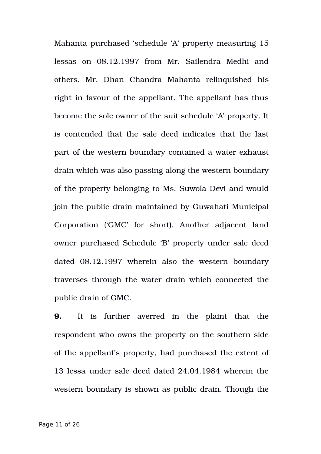Mahanta purchased 'schedule 'A' property measuring 15 lessas on 08.12.1997 from Mr. Sailendra Medhi and others. Mr. Dhan Chandra Mahanta relinquished his right in favour of the appellant. The appellant has thus become the sole owner of the suit schedule 'A' property. It is contended that the sale deed indicates that the last part of the western boundary contained a water exhaust drain which was also passing along the western boundary of the property belonging to Ms. Suwola Devi and would join the public drain maintained by Guwahati Municipal Corporation ('GMC' for short). Another adjacent land owner purchased Schedule 'B' property under sale deed dated  $08.12.1997$  wherein also the western boundary traverses through the water drain which connected the public drain of GMC.

**9.** It is further averred in the plaint that the respondent who owns the property on the southern side of the appellant's property, had purchased the extent of 13 lessa under sale deed dated 24.04.1984 wherein the western boundary is shown as public drain. Though the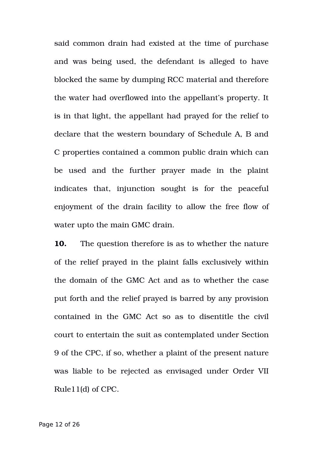said common drain had existed at the time of purchase and was being used, the defendant is alleged to have blocked the same by dumping RCC material and therefore the water had overflowed into the appellant's property. It is in that light, the appellant had prayed for the relief to declare that the western boundary of Schedule A, B and C properties contained a common public drain which can be used and the further prayer made in the plaint indicates that, injunction sought is for the peaceful enjoyment of the drain facility to allow the free flow of water upto the main GMC drain.

**10.** The question therefore is as to whether the nature of the relief prayed in the plaint falls exclusively within the domain of the GMC Act and as to whether the case put forth and the relief prayed is barred by any provision contained in the GMC Act so as to disentitle the civil court to entertain the suit as contemplated under Section 9 of the CPC, if so, whether a plaint of the present nature was liable to be rejected as envisaged under Order VII Rule11(d) of CPC.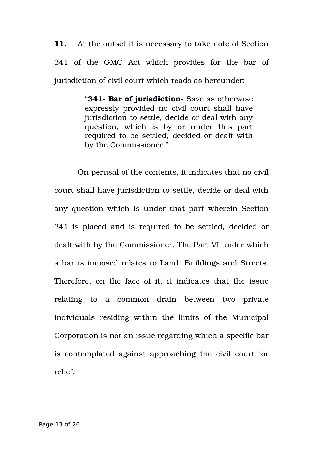**11.** At the outset it is necessary to take note of Section 341 of the GMC Act which provides for the bar of jurisdiction of civil court which reads as hereunder: -

> "**341- Bar of jurisdiction-** Save as otherwise expressly provided no civil court shall have jurisdiction to settle, decide or deal with any question, which is by or under this part required to be settled, decided or dealt with by the Commissioner."

On perusal of the contents, it indicates that no civil court shall have jurisdiction to settle, decide or deal with any question which is under that part wherein Section 341 is placed and is required to be settled, decided or dealt with by the Commissioner. The Part VI under which a bar is imposed relates to Land, Buildings and Streets. Therefore, on the face of it, it indicates that the issue relating to a common drain between two private individuals residing within the limits of the Municipal Corporation is not an issue regarding which a specific bar is contemplated against approaching the civil court for relief.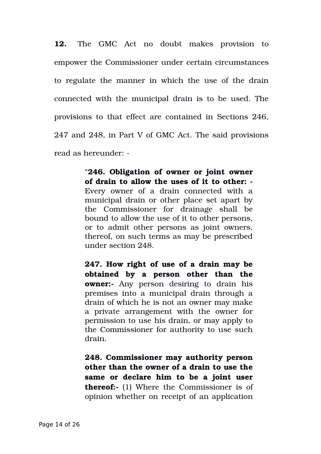**12.** The GMC Act no doubt makes provision to empower the Commissioner under certain circumstances to regulate the manner in which the use of the drain connected with the municipal drain is to be used. The provisions to that effect are contained in Sections 246, 247 and 248, in Part V of GMC Act. The said provisions read as hereunder:

> "**246. Obligation of owner or joint owner of drain to allow the uses of it to other:**  Every owner of a drain connected with a municipal drain or other place set apart by the Commissioner for drainage shall be bound to allow the use of it to other persons, or to admit other persons as joint owners, thereof, on such terms as may be prescribed under section 248.

> **247. How right of use of a drain may be obtained by a person other than the owner:-** Any person desiring to drain his premises into a municipal drain through a drain of which he is not an owner may make a private arrangement with the owner for permission to use his drain, or may apply to the Commissioner for authority to use such drain.

> **248. Commissioner may authority person other than the owner of a drain to use the same or declare him to be a joint user thereof:** (1) Where the Commissioner is of opinion whether on receipt of an application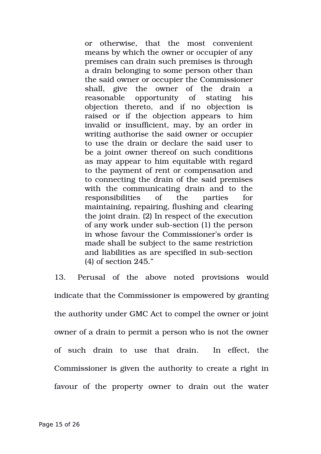or otherwise, that the most convenient means by which the owner or occupier of any premises can drain such premises is through a drain belonging to some person other than the said owner or occupier the Commissioner shall, give the owner of the drain a reasonable opportunity of stating his objection thereto, and if no objection is raised or if the objection appears to him invalid or insufficient, may, by an order in writing authorise the said owner or occupier to use the drain or declare the said user to be a joint owner thereof on such conditions as may appear to him equitable with regard to the payment of rent or compensation and to connecting the drain of the said premises with the communicating drain and to the responsibilities of the parties for maintaining, repairing, flushing and clearing the joint drain. (2) In respect of the execution of any work under sub-section (1) the person in whose favour the Commissioner's order is made shall be subject to the same restriction and liabilities as are specified in sub-section (4) of section 245."

13. Perusal of the above noted provisions would indicate that the Commissioner is empowered by granting the authority under GMC Act to compel the owner or joint owner of a drain to permit a person who is not the owner of such drain to use that drain. In effect, the Commissioner is given the authority to create a right in favour of the property owner to drain out the water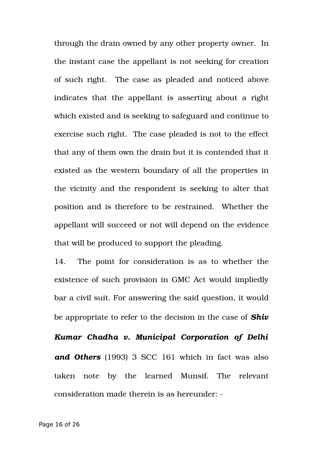through the drain owned by any other property owner. In the instant case the appellant is not seeking for creation of such right. The case as pleaded and noticed above indicates that the appellant is asserting about a right which existed and is seeking to safeguard and continue to exercise such right. The case pleaded is not to the effect that any of them own the drain but it is contended that it existed as the western boundary of all the properties in the vicinity and the respondent is seeking to alter that position and is therefore to be restrained. Whether the appellant will succeed or not will depend on the evidence that will be produced to support the pleading.

14. The point for consideration is as to whether the existence of such provision in GMC Act would impliedly bar a civil suit. For answering the said question, it would be appropriate to refer to the decision in the case of *Shiv*

*Kumar Chadha v. Municipal Corporation of Delhi and Others* (1993) 3 SCC 161 which in fact was also taken note by the learned Munsif. The relevant consideration made therein is as hereunder: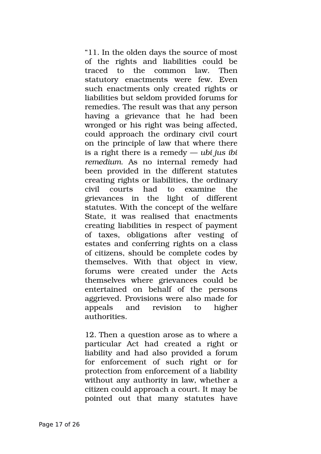"11. In the olden days the source of most of the rights and liabilities could be traced to the common law. Then statutory enactments were few. Even such enactments only created rights or liabilities but seldom provided forums for remedies. The result was that any person having a grievance that he had been wronged or his right was being affected, could approach the ordinary civil court on the principle of law that where there is a right there is a remedy — *ubi jus ibi remedium.* As no internal remedy had been provided in the different statutes creating rights or liabilities, the ordinary civil courts had to examine the grievances in the light of different statutes. With the concept of the welfare State, it was realised that enactments creating liabilities in respect of payment of taxes, obligations after vesting of estates and conferring rights on a class of citizens, should be complete codes by themselves. With that object in view, forums were created under the Acts themselves where grievances could be entertained on behalf of the persons aggrieved. Provisions were also made for appeals and revision to higher authorities.

12. Then a question arose as to where a particular Act had created a right or liability and had also provided a forum for enforcement of such right or for protection from enforcement of a liability without any authority in law, whether a citizen could approach a court. It may be pointed out that many statutes have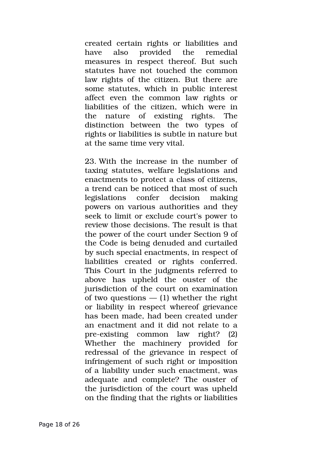created certain rights or liabilities and have also provided the remedial measures in respect thereof. But such statutes have not touched the common law rights of the citizen. But there are some statutes, which in public interest affect even the common law rights or liabilities of the citizen, which were in the nature of existing rights. The distinction between the two types of rights or liabilities is subtle in nature but at the same time very vital.

23. With the increase in the number of taxing statutes, welfare legislations and enactments to protect a class of citizens, a trend can be noticed that most of such legislations confer decision making powers on various authorities and they seek to limit or exclude court's power to review those decisions. The result is that the power of the court under Section 9 of the Code is being denuded and curtailed by such special enactments, in respect of liabilities created or rights conferred. This Court in the judgments referred to above has upheld the ouster of the jurisdiction of the court on examination of two questions  $-$  (1) whether the right or liability in respect whereof grievance has been made, had been created under an enactment and it did not relate to a pre-existing common law right? (2) Whether the machinery provided for redressal of the grievance in respect of infringement of such right or imposition of a liability under such enactment, was adequate and complete? The ouster of the jurisdiction of the court was upheld on the finding that the rights or liabilities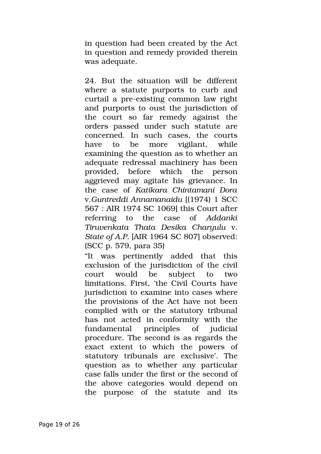in question had been created by the Act in question and remedy provided therein was adequate.

24. But the situation will be different where a statute purports to curb and curtail a pre-existing common law right and purports to oust the jurisdiction of the court so far remedy against the orders passed under such statute are concerned. In such cases, the courts have to be more vigilant, while examining the question as to whether an adequate redressal machinery has been provided, before which the person aggrieved may agitate his grievance. In the case of *Katikara Chintamani Dora* v.*Guntreddi Annamanaidu* [(1974) 1 SCC 567 : AIR 1974 SC 1069] this Court after referring to the case of *Addanki Tiruvenkata Thata Desika Charyulu* v. *State of A.P.* [AIR 1964 SC 807] observed: (SCC p. 579, para 35)

"It was pertinently added that this exclusion of the jurisdiction of the civil court would be subject to two limitations. First, 'the Civil Courts have jurisdiction to examine into cases where the provisions of the Act have not been complied with or the statutory tribunal has not acted in conformity with the fundamental principles of judicial procedure. The second is as regards the exact extent to which the powers of statutory tribunals are exclusive'. The question as to whether any particular case falls under the first or the second of the above categories would depend on the purpose of the statute and its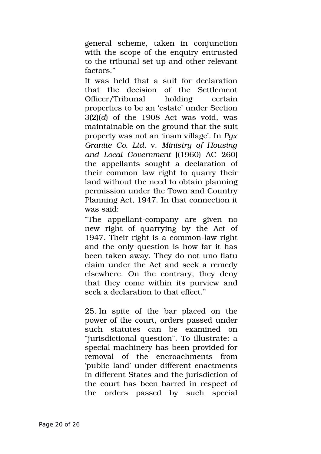general scheme, taken in conjunction with the scope of the enquiry entrusted to the tribunal set up and other relevant factors."

It was held that a suit for declaration that the decision of the Settlement Officer/Tribunal holding certain properties to be an 'estate' under Section 3(2)(*d*) of the 1908 Act was void, was maintainable on the ground that the suit property was not an 'inam village'. In *Pyx Granite Co. Ltd.* v. *Ministry of Housing and Local Government* [(1960) AC 260] the appellants sought a declaration of their common law right to quarry their land without the need to obtain planning permission under the Town and Country Planning Act, 1947. In that connection it was said:

"The appellant-company are given no new right of quarrying by the Act of 1947. Their right is a common-law right and the only question is how far it has been taken away. They do not uno flatu claim under the Act and seek a remedy elsewhere. On the contrary, they deny that they come within its purview and seek a declaration to that effect."

25. In spite of the bar placed on the power of the court, orders passed under such statutes can be examined on "jurisdictional question". To illustrate: a special machinery has been provided for removal of the encroachments from 'public land' under different enactments in different States and the jurisdiction of the court has been barred in respect of the orders passed by such special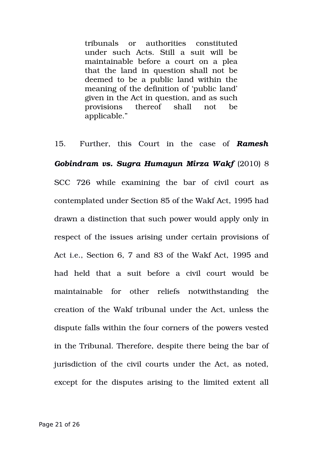tribunals or authorities constituted under such Acts. Still a suit will be maintainable before a court on a plea that the land in question shall not be deemed to be a public land within the meaning of the definition of 'public land' given in the Act in question, and as such provisions thereof shall not be applicable."

15. Further, this Court in the case of *Ramesh Gobindram vs. Sugra Humayun Mirza Wakf* (2010) 8 SCC 726 while examining the bar of civil court as contemplated under Section 85 of the Wakf Act, 1995 had drawn a distinction that such power would apply only in respect of the issues arising under certain provisions of Act i.e., Section 6, 7 and 83 of the Wakf Act, 1995 and had held that a suit before a civil court would be maintainable for other reliefs notwithstanding the creation of the Wakf tribunal under the Act, unless the dispute falls within the four corners of the powers vested in the Tribunal. Therefore, despite there being the bar of jurisdiction of the civil courts under the Act, as noted, except for the disputes arising to the limited extent all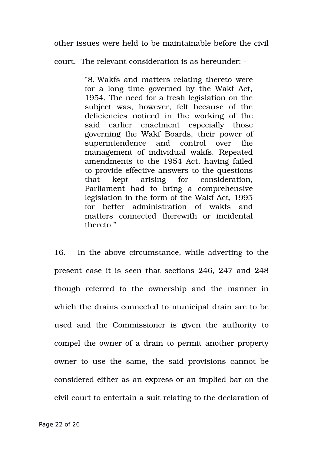other issues were held to be maintainable before the civil

court. The relevant consideration is as hereunder:

"8. Wakfs and matters relating thereto were for a long time governed by the Wakf Act, 1954. The need for a fresh legislation on the subject was, however, felt because of the deficiencies noticed in the working of the said earlier enactment especially those governing the Wakf Boards, their power of superintendence and control over the management of individual wakfs. Repeated amendments to the 1954 Act, having failed to provide effective answers to the questions that kept arising for consideration, Parliament had to bring a comprehensive legislation in the form of the Wakf Act, 1995 for better administration of wakfs and matters connected therewith or incidental thereto."

16. In the above circumstance, while adverting to the present case it is seen that sections 246, 247 and 248 though referred to the ownership and the manner in which the drains connected to municipal drain are to be used and the Commissioner is given the authority to compel the owner of a drain to permit another property owner to use the same, the said provisions cannot be considered either as an express or an implied bar on the civil court to entertain a suit relating to the declaration of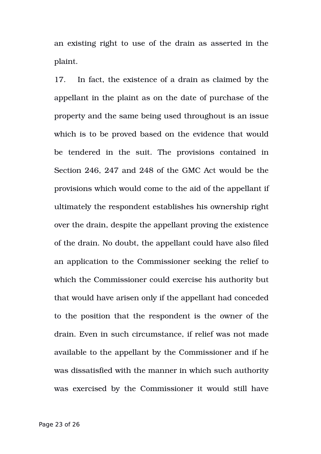an existing right to use of the drain as asserted in the plaint.

17. In fact, the existence of a drain as claimed by the appellant in the plaint as on the date of purchase of the property and the same being used throughout is an issue which is to be proved based on the evidence that would be tendered in the suit. The provisions contained in Section 246, 247 and 248 of the GMC Act would be the provisions which would come to the aid of the appellant if ultimately the respondent establishes his ownership right over the drain, despite the appellant proving the existence of the drain. No doubt, the appellant could have also filed an application to the Commissioner seeking the relief to which the Commissioner could exercise his authority but that would have arisen only if the appellant had conceded to the position that the respondent is the owner of the drain. Even in such circumstance, if relief was not made available to the appellant by the Commissioner and if he was dissatisfied with the manner in which such authority was exercised by the Commissioner it would still have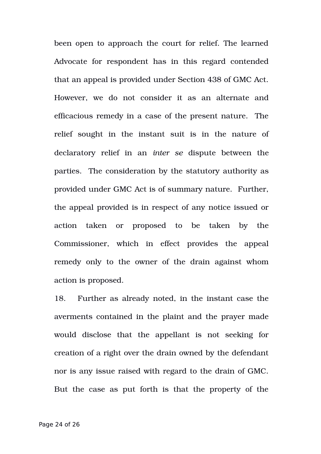been open to approach the court for relief. The learned Advocate for respondent has in this regard contended that an appeal is provided under Section 438 of GMC Act. However, we do not consider it as an alternate and efficacious remedy in a case of the present nature. The relief sought in the instant suit is in the nature of declaratory relief in an *inter se* dispute between the parties. The consideration by the statutory authority as provided under GMC Act is of summary nature. Further, the appeal provided is in respect of any notice issued or action taken or proposed to be taken by the Commissioner, which in effect provides the appeal remedy only to the owner of the drain against whom action is proposed.

18. Further as already noted, in the instant case the averments contained in the plaint and the prayer made would disclose that the appellant is not seeking for creation of a right over the drain owned by the defendant nor is any issue raised with regard to the drain of GMC. But the case as put forth is that the property of the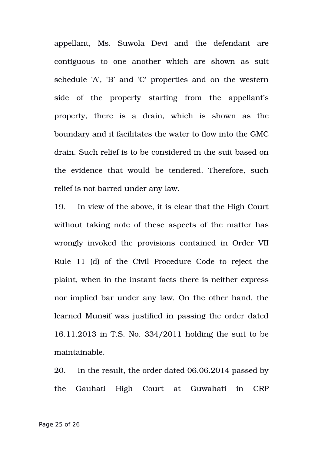appellant, Ms. Suwola Devi and the defendant are contiguous to one another which are shown as suit schedule 'A', 'B' and 'C' properties and on the western side of the property starting from the appellant's property, there is a drain, which is shown as the boundary and it facilitates the water to flow into the GMC drain. Such relief is to be considered in the suit based on the evidence that would be tendered. Therefore, such relief is not barred under any law.

19. In view of the above, it is clear that the High Court without taking note of these aspects of the matter has wrongly invoked the provisions contained in Order VII Rule 11 (d) of the Civil Procedure Code to reject the plaint, when in the instant facts there is neither express nor implied bar under any law. On the other hand, the learned Munsif was justified in passing the order dated 16.11.2013 in T.S. No. 334/2011 holding the suit to be maintainable.

20. In the result, the order dated 06.06.2014 passed by the Gauhati High Court at Guwahati in CRP